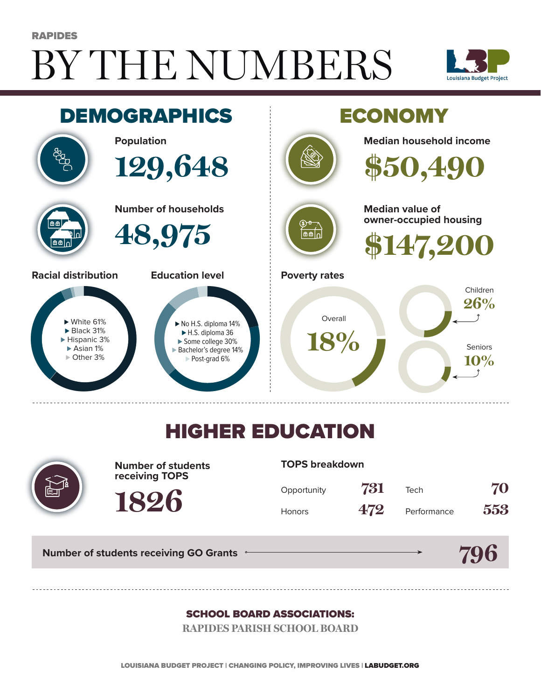# BY THE NUMBERS RAPIDES





## HIGHER EDUCATION



**Number of students receiving TOPS**

**1826**

#### **TOPS breakdown**

| Opportunity   | 731 | Tech        | 70  |
|---------------|-----|-------------|-----|
| <b>Honors</b> | 472 | Performance | 553 |

**Number of students receiving GO Grants**



#### SCHOOL BOARD ASSOCIATIONS:

**RAPIDES PARISH SCHOOL BOARD**